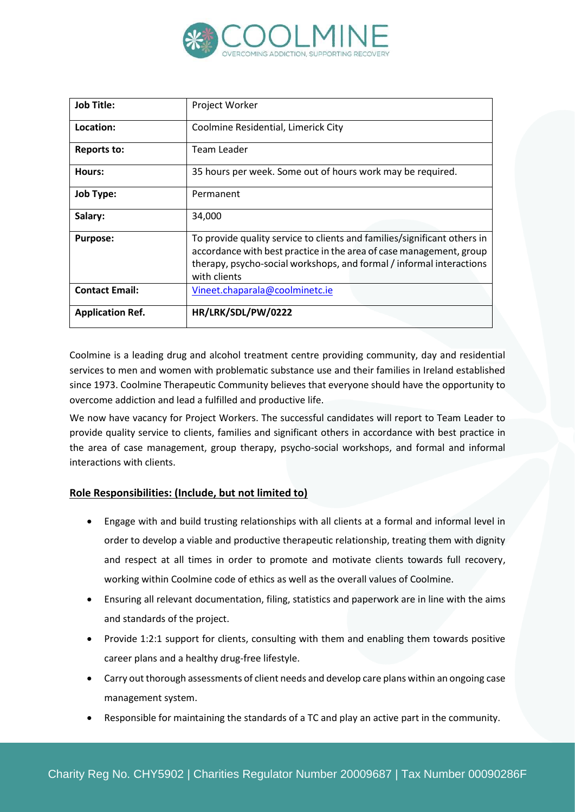

| <b>Job Title:</b>       | Project Worker                                                                                                                                                                                                                          |
|-------------------------|-----------------------------------------------------------------------------------------------------------------------------------------------------------------------------------------------------------------------------------------|
| Location:               | Coolmine Residential, Limerick City                                                                                                                                                                                                     |
| <b>Reports to:</b>      | Team Leader                                                                                                                                                                                                                             |
| Hours:                  | 35 hours per week. Some out of hours work may be required.                                                                                                                                                                              |
| <b>Job Type:</b>        | Permanent                                                                                                                                                                                                                               |
| Salary:                 | 34,000                                                                                                                                                                                                                                  |
| <b>Purpose:</b>         | To provide quality service to clients and families/significant others in<br>accordance with best practice in the area of case management, group<br>therapy, psycho-social workshops, and formal / informal interactions<br>with clients |
| <b>Contact Email:</b>   | Vineet.chaparala@coolminetc.ie                                                                                                                                                                                                          |
| <b>Application Ref.</b> | HR/LRK/SDL/PW/0222                                                                                                                                                                                                                      |

Coolmine is a leading drug and alcohol treatment centre providing community, day and residential services to men and women with problematic substance use and their families in Ireland established since 1973. Coolmine Therapeutic Community believes that everyone should have the opportunity to overcome addiction and lead a fulfilled and productive life.

We now have vacancy for Project Workers. The successful candidates will report to Team Leader to provide quality service to clients, families and significant others in accordance with best practice in the area of case management, group therapy, psycho-social workshops, and formal and informal interactions with clients.

# **Role Responsibilities: (Include, but not limited to)**

- Engage with and build trusting relationships with all clients at a formal and informal level in order to develop a viable and productive therapeutic relationship, treating them with dignity and respect at all times in order to promote and motivate clients towards full recovery, working within Coolmine code of ethics as well as the overall values of Coolmine.
- Ensuring all relevant documentation, filing, statistics and paperwork are in line with the aims and standards of the project.
- Provide 1:2:1 support for clients, consulting with them and enabling them towards positive career plans and a healthy drug-free lifestyle.
- Carry out thorough assessments of client needs and develop care plans within an ongoing case management system.
- Responsible for maintaining the standards of a TC and play an active part in the community.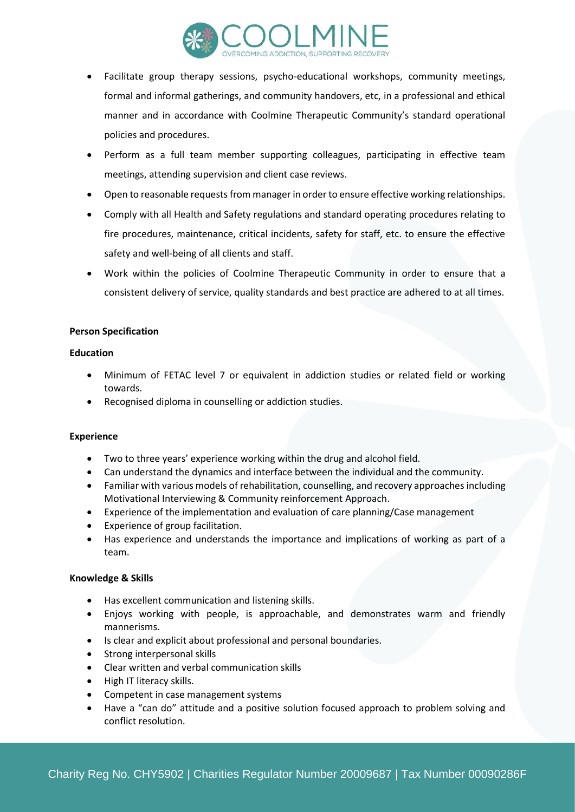

- Facilitate group therapy sessions, psycho-educational workshops, community meetings, formal and informal gatherings, and community handovers, etc, in a professional and ethical manner and in accordance with Coolmine Therapeutic Community's standard operational policies and procedures.
- Perform as a full team member supporting colleagues, participating in effective team meetings, attending supervision and client case reviews.
- Open to reasonable requests from manager in order to ensure effective working relationships.
- Comply with all Health and Safety regulations and standard operating procedures relating to fire procedures, maintenance, critical incidents, safety for staff, etc. to ensure the effective safety and well-being of all clients and staff.
- Work within the policies of Coolmine Therapeutic Community in order to ensure that a consistent delivery of service, quality standards and best practice are adhered to at all times.

#### **Person Specification**

#### **Education**

- Minimum of FETAC level 7 or equivalent in addiction studies or related field or working towards.
- Recognised diploma in counselling or addiction studies.

# **Experience**

- Two to three years' experience working within the drug and alcohol field.
- Can understand the dynamics and interface between the individual and the community.
- Familiar with various models of rehabilitation, counselling, and recovery approaches including Motivational Interviewing & Community reinforcement Approach.
- Experience of the implementation and evaluation of care planning/Case management
- Experience of group facilitation.
- Has experience and understands the importance and implications of working as part of a team.

# **Knowledge & Skills**

- Has excellent communication and listening skills.
- Enjoys working with people, is approachable, and demonstrates warm and friendly mannerisms.
- Is clear and explicit about professional and personal boundaries.
- Strong interpersonal skills
- Clear written and verbal communication skills
- High IT literacy skills.
- Competent in case management systems
- Have a "can do" attitude and a positive solution focused approach to problem solving and conflict resolution.